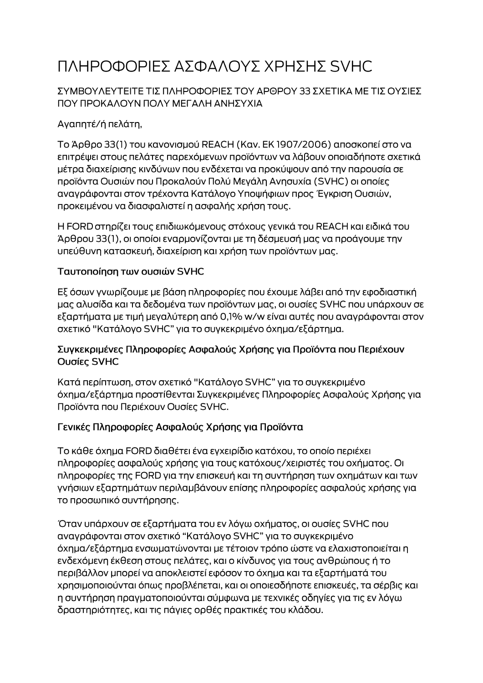# ΠΛΗΡΟΦΟΡΙΕΣ ΑΣΦΑΛΟΥΣ ΧΡΗΣΗΣ SVHC

### ΣΥΜΒΟΥΛΕΥΤΕΙΤΕ ΤΙΣ ΠΛΗΡΟΦΟΡΙΕΣ ΤΟΥ ΑΡΘΡΟΥ 33 ΣΧΕΤΙΚΑ ΜΕ ΤΙΣ ΟΥΣΙΕΣ ΠΟΥ ΠΡΟΚΑΛΟΥΝ ΠΟΛΥ ΜΕΓΑΛΗ ΑΝΗΣΥΧΙΑ

# Αγαπητέ/ή πελάτη,

Το Άρθρο 33(1) του κανονισμού REACH (Καν. ΕΚ 1907/2006) αποσκοπεί στο να επιτρέψει στους πελάτες παρεχόμενων προϊόντων να λάβουν οποιαδήποτε σχετικά μέτρα διαχείρισης κινδύνων που ενδέχεται να προκύψουν από την παρουσία σε προϊόντα Ουσιών που Προκαλούν Πολύ Μεγάλη Ανησυχία (SVHC) οι οποίες αναγράφονται στον τρέχοντα Κατάλογο Υποψήφιων προς Έγκριση Ουσιών, προκειμένου να διασφαλιστεί η ασφαλής χρήση τους.

Η FORD στηρίζει τους επιδιωκόμενους στόχους γενικά του REACH και ειδικά του Άρθρου 33(1), οι οποίοι εναρμονίζονται με τη δέσμευσή μας να προάγουμε την υπεύθυνη κατασκευή, διαχείριση και χρήση των προϊόντων μας.

#### Ταυτοποίηση των ουσιών SVHC

Εξ όσων γνωρίζουμε με βάση πληροφορίες που έχουμε λάβει από την εφοδιαστική μας αλυσίδα και τα δεδομένα των προϊόντων μας, οι ουσίες SVHC που υπάρχουν σε εξαρτήματα με τιμή μεγαλύτερη από 0,1% w/w είναι αυτές που αναγράφονται στον σχετικό "Κατάλογο SVHC" για το συγκεκριμένο όχημα/εξάρτημα.

#### Συγκεκριμένες Πληροφορίες Ασφαλούς Χρήσης για Προϊόντα που Περιέχουν Ουσίες SVHC

Κατά περίπτωση, στον σχετικό "Κατάλογο SVHC" για το συγκεκριμένο όχημα/εξάρτημα προστίθενται Συγκεκριμένες Πληροφορίες Ασφαλούς Χρήσης για Προϊόντα που Περιέχουν Ουσίες SVHC.

## Γενικές Πληροφορίες Ασφαλούς Χρήσης για Προϊόντα

Το κάθε όχημα FORD διαθέτει ένα εγχειρίδιο κατόχου, το οποίο περιέχει πληροφορίες ασφαλούς χρήσης για τους κατόχους/χειριστές του οχήματος. Οι πληροφορίες της FORD για την επισκευή και τη συντήρηση των οχημάτων και των γνήσιων εξαρτημάτων περιλαμβάνουν επίσης πληροφορίες ασφαλούς χρήσης για το προσωπικό συντήρησης.

Όταν υπάρχουν σε εξαρτήματα του εν λόγω οχήματος, οι ουσίες SVHC που αναγράφονται στον σχετικό "Κατάλογο SVHC" για το συγκεκριμένο όχημα/εξάρτημα ενσωματώνονται με τέτοιον τρόπο ώστε να ελαχιστοποιείται η ενδεχόμενη έκθεση στους πελάτες, και ο κίνδυνος για τους ανθρώπους ή το περιβάλλον μπορεί να αποκλειστεί εφόσον το όχημα και τα εξαρτήματά του χρησιμοποιούνται όπως προβλέπεται, και οι οποιεσδήποτε επισκευές, τα σέρβις και η συντήρηση πραγματοποιούνται σύμφωνα με τεχνικές οδηγίες για τις εν λόγω δραστηριότητες, και τις πάγιες ορθές πρακτικές του κλάδου.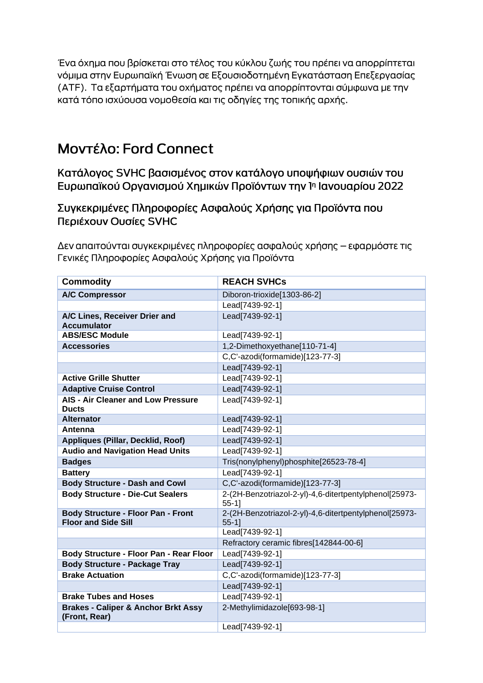Ένα όχημα που βρίσκεται στο τέλος του κύκλου ζωής του πρέπει να απορρίπτεται νόμιμα στην Ευρωπαϊκή Ένωση σε Εξουσιοδοτημένη Εγκατάσταση Επεξεργασίας (ΑΤΕ). Τα εξαρτήματα του οχήματος πρέπει να απορρίπτονται σύμφωνα με την κατά τόπο ισχύουσα νομοθεσία και τις οδηγίες της τοπικής αρχής.

# **Movτέλο: Ford Connect**

Κατάλογος SVHC βασισμένος στον κατάλογο υποψήφιων ουσιών του Ευρωπαϊκού Οργανισμού Χημικών Προϊόντων την 1η Ιανουαρίου 2022

Συγκεκριμένες Πληροφορίες Ασφαλούς Χρήσης για Προϊόντα που Περιέχουν Ουσίες SVHC

Δεν απαιτούνται συγκεκριμένες πληροφορίες ασφαλούς χρήσης – εφαρμόστε τις Γενικές Πληροφορίες Ασφαλούς Χρήσης για Προϊόντα

| <b>Commodity</b>                                                        | <b>REACH SVHCs</b>                                                 |
|-------------------------------------------------------------------------|--------------------------------------------------------------------|
| <b>A/C Compressor</b>                                                   | Diboron-trioxide[1303-86-2]                                        |
|                                                                         | Lead[7439-92-1]                                                    |
| A/C Lines, Receiver Drier and<br><b>Accumulator</b>                     | Lead[7439-92-1]                                                    |
| <b>ABS/ESC Module</b>                                                   | Lead[7439-92-1]                                                    |
| <b>Accessories</b>                                                      | 1,2-Dimethoxyethane[110-71-4]                                      |
|                                                                         | C,C'-azodi(formamide)[123-77-3]                                    |
|                                                                         | Lead[7439-92-1]                                                    |
| <b>Active Grille Shutter</b>                                            | Lead[7439-92-1]                                                    |
| <b>Adaptive Cruise Control</b>                                          | Lead[7439-92-1]                                                    |
| <b>AIS - Air Cleaner and Low Pressure</b><br><b>Ducts</b>               | Lead[7439-92-1]                                                    |
| <b>Alternator</b>                                                       | Lead[7439-92-1]                                                    |
| Antenna                                                                 | Lead[7439-92-1]                                                    |
| Appliques (Pillar, Decklid, Roof)                                       | Lead[7439-92-1]                                                    |
| <b>Audio and Navigation Head Units</b>                                  | Lead[7439-92-1]                                                    |
| <b>Badges</b>                                                           | Tris(nonylphenyl)phosphite[26523-78-4]                             |
| <b>Battery</b>                                                          | Lead[7439-92-1]                                                    |
| <b>Body Structure - Dash and Cowl</b>                                   | C,C'-azodi(formamide)[123-77-3]                                    |
| <b>Body Structure - Die-Cut Sealers</b>                                 | 2-(2H-Benzotriazol-2-yl)-4,6-ditertpentylphenol[25973-<br>$55-1$ ] |
| <b>Body Structure - Floor Pan - Front</b><br><b>Floor and Side Sill</b> | 2-(2H-Benzotriazol-2-yl)-4,6-ditertpentylphenol[25973-<br>$55-1$ ] |
|                                                                         | Lead[7439-92-1]                                                    |
|                                                                         | Refractory ceramic fibres[142844-00-6]                             |
| Body Structure - Floor Pan - Rear Floor                                 | Lead[7439-92-1]                                                    |
| <b>Body Structure - Package Tray</b>                                    | Lead[7439-92-1]                                                    |
| <b>Brake Actuation</b>                                                  | C,C'-azodi(formamide)[123-77-3]                                    |
|                                                                         | Lead[7439-92-1]                                                    |
| <b>Brake Tubes and Hoses</b>                                            | Lead[7439-92-1]                                                    |
| <b>Brakes - Caliper &amp; Anchor Brkt Assy</b><br>(Front, Rear)         | 2-Methylimidazole[693-98-1]                                        |
|                                                                         | Lead[7439-92-1]                                                    |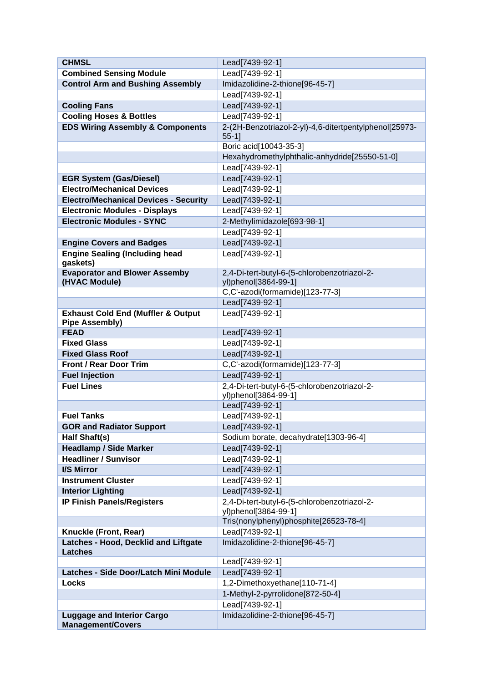| <b>CHMSL</b>                                                  | Lead[7439-92-1]                                         |
|---------------------------------------------------------------|---------------------------------------------------------|
| <b>Combined Sensing Module</b>                                | Lead[7439-92-1]                                         |
| <b>Control Arm and Bushing Assembly</b>                       | Imidazolidine-2-thione[96-45-7]                         |
|                                                               | Lead[7439-92-1]                                         |
| <b>Cooling Fans</b>                                           | Lead[7439-92-1]                                         |
| <b>Cooling Hoses &amp; Bottles</b>                            | Lead[7439-92-1]                                         |
| <b>EDS Wiring Assembly &amp; Components</b>                   | 2-(2H-Benzotriazol-2-yl)-4,6-ditertpentylphenol[25973-  |
|                                                               | $55-1$ ]                                                |
|                                                               | Boric acid[10043-35-3]                                  |
|                                                               | Hexahydromethylphthalic-anhydride[25550-51-0]           |
|                                                               | Lead[7439-92-1]                                         |
| <b>EGR System (Gas/Diesel)</b>                                | Lead[7439-92-1]                                         |
| <b>Electro/Mechanical Devices</b>                             | Lead[7439-92-1]                                         |
| <b>Electro/Mechanical Devices - Security</b>                  | Lead[7439-92-1]                                         |
| <b>Electronic Modules - Displays</b>                          | Lead[7439-92-1]                                         |
| <b>Electronic Modules - SYNC</b>                              | 2-Methylimidazole[693-98-1]                             |
|                                                               | Lead[7439-92-1]                                         |
| <b>Engine Covers and Badges</b>                               | Lead[7439-92-1]                                         |
| <b>Engine Sealing (Including head</b>                         | Lead[7439-92-1]                                         |
| gaskets)                                                      |                                                         |
| <b>Evaporator and Blower Assemby</b>                          | 2,4-Di-tert-butyl-6-(5-chlorobenzotriazol-2-            |
| (HVAC Module)                                                 | yl)phenol[3864-99-1]<br>C,C'-azodi(formamide)[123-77-3] |
|                                                               | Lead[7439-92-1]                                         |
| <b>Exhaust Cold End (Muffler &amp; Output</b>                 | Lead[7439-92-1]                                         |
| <b>Pipe Assembly)</b>                                         |                                                         |
| <b>FEAD</b>                                                   | Lead[7439-92-1]                                         |
| <b>Fixed Glass</b>                                            | Lead[7439-92-1]                                         |
| <b>Fixed Glass Roof</b>                                       | Lead[7439-92-1]                                         |
| <b>Front / Rear Door Trim</b>                                 | C,C'-azodi(formamide)[123-77-3]                         |
| <b>Fuel Injection</b>                                         | Lead[7439-92-1]                                         |
| <b>Fuel Lines</b>                                             | 2,4-Di-tert-butyl-6-(5-chlorobenzotriazol-2-            |
|                                                               | yl)phenol[3864-99-1]                                    |
|                                                               | Lead[7439-92-1]                                         |
| <b>Fuel Tanks</b>                                             | Lead[7439-92-1]                                         |
| <b>GOR and Radiator Support</b>                               | Lead[7439-92-1]                                         |
| Half Shaft(s)                                                 | Sodium borate, decahydrate[1303-96-4]                   |
| <b>Headlamp / Side Marker</b>                                 | Lead[7439-92-1]                                         |
| <b>Headliner / Sunvisor</b>                                   | Lead[7439-92-1]                                         |
| I/S Mirror                                                    | Lead[7439-92-1]                                         |
| <b>Instrument Cluster</b>                                     | Lead[7439-92-1]                                         |
| <b>Interior Lighting</b>                                      | Lead[7439-92-1]                                         |
| <b>IP Finish Panels/Registers</b>                             | 2,4-Di-tert-butyl-6-(5-chlorobenzotriazol-2-            |
|                                                               | yl)phenol[3864-99-1]                                    |
|                                                               | Tris(nonylphenyl)phosphite[26523-78-4]                  |
| Knuckle (Front, Rear)<br>Latches - Hood, Decklid and Liftgate | Lead[7439-92-1]<br>Imidazolidine-2-thione[96-45-7]      |
| <b>Latches</b>                                                |                                                         |
|                                                               | Lead[7439-92-1]                                         |
| Latches - Side Door/Latch Mini Module                         | Lead[7439-92-1]                                         |
| <b>Locks</b>                                                  | 1,2-Dimethoxyethane[110-71-4]                           |
|                                                               | 1-Methyl-2-pyrrolidone[872-50-4]                        |
|                                                               | Lead[7439-92-1]                                         |
| <b>Luggage and Interior Cargo</b>                             | Imidazolidine-2-thione[96-45-7]                         |
| <b>Management/Covers</b>                                      |                                                         |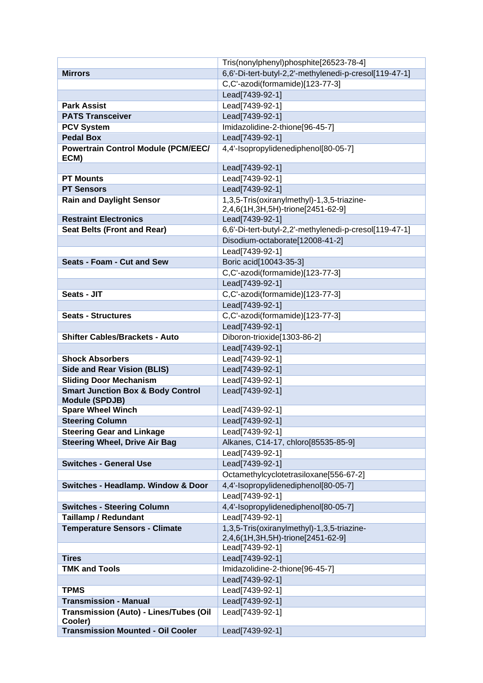|                                                   | Tris(nonylphenyl)phosphite[26523-78-4]                 |
|---------------------------------------------------|--------------------------------------------------------|
| <b>Mirrors</b>                                    | 6,6'-Di-tert-butyl-2,2'-methylenedi-p-cresol[119-47-1] |
|                                                   | C,C'-azodi(formamide)[123-77-3]                        |
|                                                   | Lead[7439-92-1]                                        |
| <b>Park Assist</b>                                | Lead[7439-92-1]                                        |
| <b>PATS Transceiver</b>                           | Lead[7439-92-1]                                        |
| <b>PCV System</b>                                 | Imidazolidine-2-thione[96-45-7]                        |
| <b>Pedal Box</b>                                  | Lead[7439-92-1]                                        |
| <b>Powertrain Control Module (PCM/EEC/</b>        | 4,4'-Isopropylidenediphenol[80-05-7]                   |
| ECM)                                              |                                                        |
|                                                   | Lead[7439-92-1]                                        |
| <b>PT Mounts</b>                                  | Lead[7439-92-1]                                        |
| <b>PT Sensors</b>                                 | Lead[7439-92-1]                                        |
| <b>Rain and Daylight Sensor</b>                   | 1,3,5-Tris(oxiranylmethyl)-1,3,5-triazine-             |
|                                                   | 2,4,6(1H,3H,5H)-trione[2451-62-9]                      |
| <b>Restraint Electronics</b>                      | Lead[7439-92-1]                                        |
| <b>Seat Belts (Front and Rear)</b>                | 6,6'-Di-tert-butyl-2,2'-methylenedi-p-cresol[119-47-1] |
|                                                   | Disodium-octaborate[12008-41-2]                        |
|                                                   | Lead[7439-92-1]                                        |
| <b>Seats - Foam - Cut and Sew</b>                 | Boric acid[10043-35-3]                                 |
|                                                   | C,C'-azodi(formamide)[123-77-3]                        |
| Seats - JIT                                       | Lead[7439-92-1]                                        |
|                                                   | C,C'-azodi(formamide)[123-77-3]                        |
|                                                   | Lead[7439-92-1]                                        |
| <b>Seats - Structures</b>                         | C,C'-azodi(formamide)[123-77-3]                        |
| <b>Shifter Cables/Brackets - Auto</b>             | Lead[7439-92-1]                                        |
|                                                   | Diboron-trioxide[1303-86-2]<br>Lead[7439-92-1]         |
| <b>Shock Absorbers</b>                            | Lead[7439-92-1]                                        |
| <b>Side and Rear Vision (BLIS)</b>                | Lead[7439-92-1]                                        |
| <b>Sliding Door Mechanism</b>                     | Lead[7439-92-1]                                        |
| <b>Smart Junction Box &amp; Body Control</b>      | Lead[7439-92-1]                                        |
| <b>Module (SPDJB)</b>                             |                                                        |
| <b>Spare Wheel Winch</b>                          | Lead[7439-92-1]                                        |
| <b>Steering Column</b>                            | Lead[7439-92-1]                                        |
| <b>Steering Gear and Linkage</b>                  | Lead[7439-92-1]                                        |
| <b>Steering Wheel, Drive Air Bag</b>              | Alkanes, C14-17, chloro[85535-85-9]                    |
|                                                   | Lead[7439-92-1]                                        |
| <b>Switches - General Use</b>                     | Lead[7439-92-1]                                        |
|                                                   | Octamethylcyclotetrasiloxane[556-67-2]                 |
| <b>Switches - Headlamp. Window &amp; Door</b>     | 4,4'-Isopropylidenediphenol[80-05-7]                   |
|                                                   | Lead[7439-92-1]                                        |
| <b>Switches - Steering Column</b>                 | 4,4'-Isopropylidenediphenol[80-05-7]                   |
| <b>Taillamp / Redundant</b>                       | Lead[7439-92-1]                                        |
| <b>Temperature Sensors - Climate</b>              | 1,3,5-Tris(oxiranylmethyl)-1,3,5-triazine-             |
|                                                   | 2,4,6(1H,3H,5H)-trione[2451-62-9]                      |
|                                                   | Lead[7439-92-1]                                        |
| <b>Tires</b>                                      | Lead[7439-92-1]                                        |
| <b>TMK and Tools</b>                              | Imidazolidine-2-thione[96-45-7]                        |
|                                                   | Lead[7439-92-1]                                        |
| <b>TPMS</b>                                       | Lead[7439-92-1]                                        |
| <b>Transmission - Manual</b>                      | Lead[7439-92-1]                                        |
| Transmission (Auto) - Lines/Tubes (Oil<br>Cooler) | Lead[7439-92-1]                                        |
| <b>Transmission Mounted - Oil Cooler</b>          | Lead[7439-92-1]                                        |